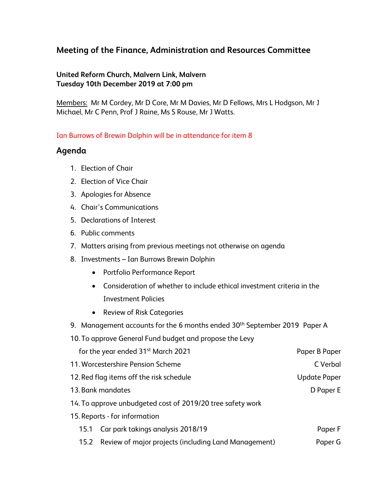# **Meeting of the Finance, Administration and Resources Committee**

#### **United Reform Church, Malvern Link, Malvern Tuesday 10th December 2019 at 7:00 pm**

Members: Mr M Cordey, Mr D Core, Mr M Davies, Mr D Fellows, Mrs L Hodgson, Mr J Michael, Mr C Penn, Prof J Raine, Ms S Rouse, Mr J Watts.

#### Ian Burrows of Brewin Dolphin will be in attendance for item 8

### **Agenda**

- 1. Election of Chair
- 2. Election of Vice Chair
- 3. Apologies for Absence
- 4. Chair's Communications
- 5. Declarations of Interest
- 6. Public comments
- 7. Matters arising from previous meetings not otherwise on agenda
- 8. Investments Ian Burrows Brewin Dolphin
	- Portfolio Performance Report
	- Consideration of whether to include ethical investment criteria in the Investment Policies
	- Review of Risk Categories
- 9. Management accounts for the 6 months ended 30<sup>th</sup> September 2019 Paper A
- 10. To approve General Fund budget and propose the Levy

| for the year ended 31 <sup>st</sup> March 2021             |                                                           | Paper B Paper       |
|------------------------------------------------------------|-----------------------------------------------------------|---------------------|
| 11. Worcestershire Pension Scheme                          |                                                           | C Verbal            |
| 12. Red flag items off the risk schedule                   |                                                           | <b>Update Paper</b> |
| 13. Bank mandates                                          |                                                           | D Paper E           |
| 14. To approve unbudgeted cost of 2019/20 tree safety work |                                                           |                     |
|                                                            | 15. Reports - for information                             |                     |
| 15.1                                                       | Car park takings analysis 2018/19                         | Paper F             |
|                                                            | 15.2 Review of major projects (including Land Management) | Paper G             |